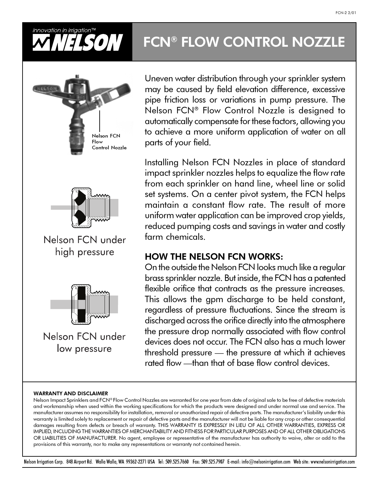

# FCN® FLOW CONTROL NOZZLE



Uneven water distribution through your sprinkler system may be caused by field elevation difference, excessive pipe friction loss or variations in pump pressure. The Nelson FCN® Flow Control Nozzle is designed to automatically compensate for these factors, allowing you to achieve a more uniform application of water on all parts of your field.

Installing Nelson FCN Nozzles in place of standard impact sprinkler nozzles helps to equalize the flow rate from each sprinkler on hand line, wheel line or solid set systems. On a center pivot system, the FCN helps maintain a constant flow rate. The result of more uniform water application can be improved crop yields, reduced pumping costs and savings in water and costly farm chemicals.

### HOW THE NELSON FCN WORKS:

On the outside the Nelson FCN looks much like a regular brass sprinkler nozzle. But inside, the FCN has a patented flexible orifice that contracts as the pressure increases. This allows the gpm discharge to be held constant, regardless of pressure fluctuations. Since the stream is discharged across the orifice directly into the atmosphere the pressure drop normally associated with flow control devices does not occur. The FCN also has a much lower threshold pressure — the pressure at which it achieves rated flow —than that of base flow control devices.

#### WARRANTY AND DISCLAIMER

Nelson Impact Sprinklers and FCN® Flow Control Nozzles are warranted for one year from date of original sale to be free of defective materials and workmanship when used within the working specifications for which the products were designed and under normal use and service. The manufacturer assumes no responsibility for installation, removal or unauthorized repair of defective parts. The manufacturer's liability under this warranty is limited solely to replacement or repair of defective parts and the manufacturer will not be liable for any crop or other consequential damages resulting from defects or breach of warranty. THIS WARRANTY IS EXPRESSLY IN LIEU OF ALL OTHER WARRANTIES, EXPRESS OR IMPLIED, INCLUDING THE WARRANTIES OF MERCHANTABILITY AND FITNESS FOR PARTICULAR PURPOSES AND OF ALL OTHER OBLIGATIONS OR LIABILITIES OF MANUFACTURER. No agent, employee or representative of the manufacturer has authority to waive, alter or add to the provisions of this warranty, nor to make any representations or warranty not contained herein.

Nelson Irrigation Corp. 848 Airport Rd. Walla Walla, WA 99362-2271 USA Tel: 509.525.7660 Fax: 509.525.7907 E-mail: info@nelsonirrigation.com Web site: www.nelsonirrigation.com